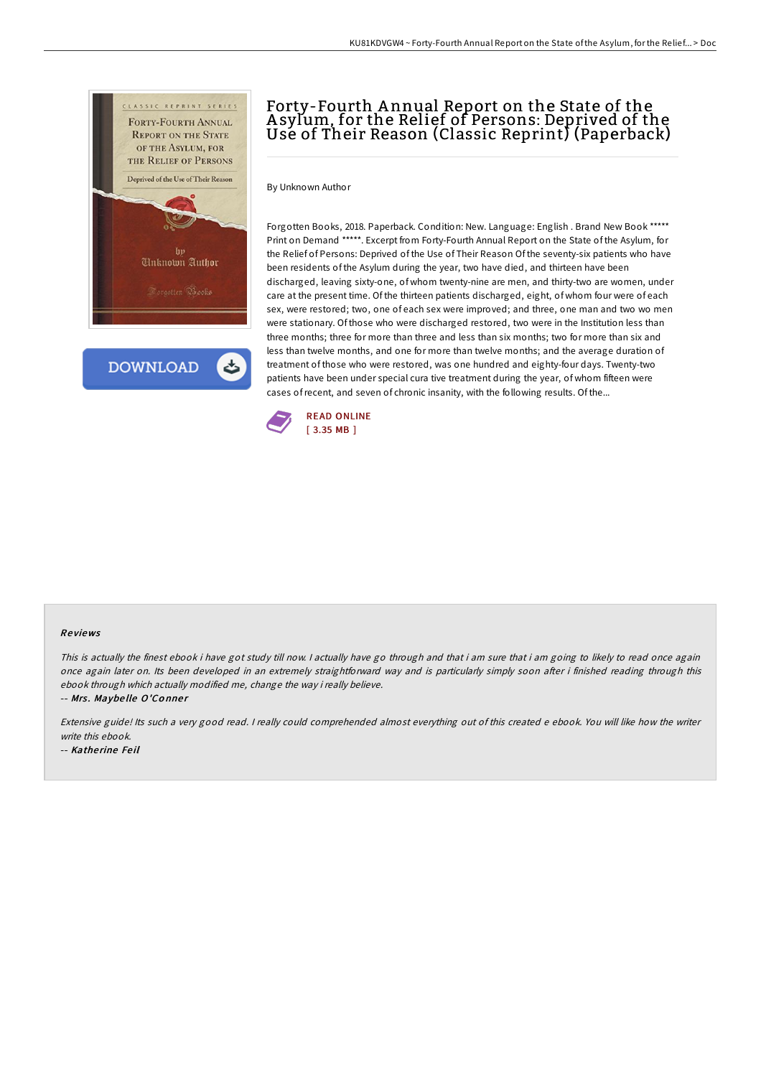

**DOWNLOAD** 

# Forty-Fourth A nnual Report on the State of the A sylum, for the Relief of Persons: Deprived of the Usé of Their Reason (Classic Reprint) (Paperback)

By Unknown Author

Forgotten Books, 2018. Paperback. Condition: New. Language: English . Brand New Book \*\*\*\*\* Print on Demand \*\*\*\*\*. Excerpt from Forty-Fourth Annual Report on the State of the Asylum, for the Relief of Persons: Deprived of the Use of Their Reason Of the seventy-six patients who have been residents of the Asylum during the year, two have died, and thirteen have been discharged, leaving sixty-one, of whom twenty-nine are men, and thirty-two are women, under care at the present time. Of the thirteen patients discharged, eight, of whom four were of each sex, were restored; two, one of each sex were improved; and three, one man and two wo men were stationary. Of those who were discharged restored, two were in the Institution less than three months; three for more than three and less than six months; two for more than six and less than twelve months, and one for more than twelve months; and the average duration of treatment of those who were restored, was one hundred and eighty-four days. Twenty-two patients have been under special cura tive treatment during the year, of whom fifteen were cases ofrecent, and seven of chronic insanity, with the following results. Of the...



#### Re views

This is actually the finest ebook i have got study till now. I actually have go through and that i am sure that i am going to likely to read once again once again later on. Its been developed in an extremely straightforward way and is particularly simply soon after i finished reading through this ebook through which actually modified me, change the way i really believe.

-- Mrs. Maybelle O'Conner

Extensive guide! Its such a very good read. I really could comprehended almost everything out of this created e ebook. You will like how the writer write this ebook.

-- Katherine Feil